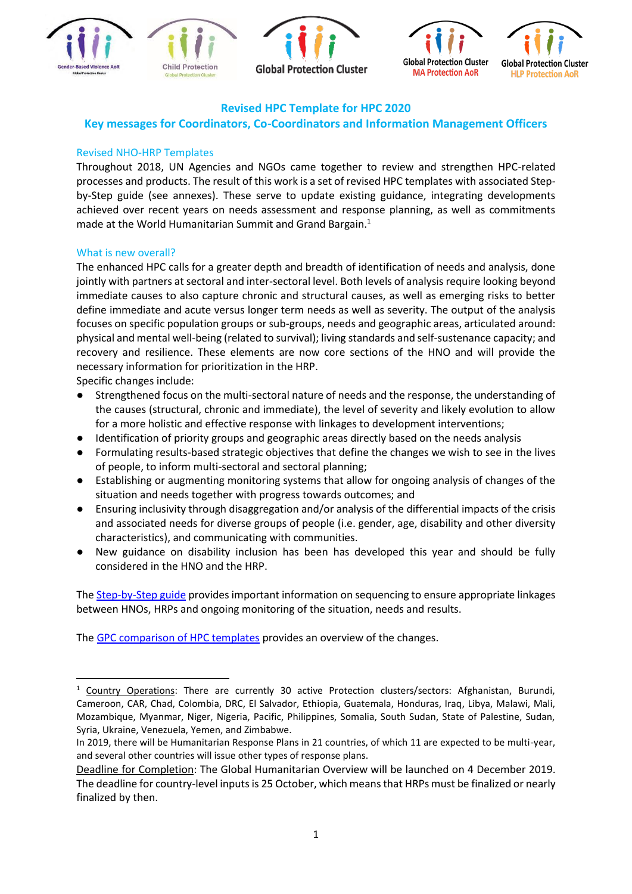







# **Revised HPC Template for HPC 2020**

# **Key messages for Coordinators, Co-Coordinators and Information Management Officers**

### Revised NHO-HRP Templates

Throughout 2018, UN Agencies and NGOs came together to review and strengthen HPC-related processes and products. The result of this work is a set of revised [HPC templates with associated Step](https://www.humanitarianresponse.info/programme-cycle/space/)[by-Step guide](https://www.humanitarianresponse.info/programme-cycle/space/) (see annexes). These serve to update existing guidance, integrating developments achieved over recent years on needs assessment and response planning, as well as commitments made at the World Humanitarian Summit and Grand Bargain.<sup>1</sup>

#### What is new overall?

The enhanced HPC calls for a greater depth and breadth of identification of needs and analysis, done jointly with partners at sectoral and inter-sectoral level. Both levels of analysis require looking beyond immediate causes to also capture chronic and structural causes, as well as emerging risks to better define immediate and acute versus longer term needs as well as severity. The output of the analysis focuses on specific population groups or sub-groups, needs and geographic areas, articulated around: physical and mental well-being (related to survival); living standards and self-sustenance capacity; and recovery and resilience. These elements are now core sections of the HNO and will provide the necessary information for prioritization in the HRP.

Specific changes include:

1

- Strengthened focus on the multi-sectoral nature of needs and the response, the understanding of the causes (structural, chronic and immediate), the level of severity and likely evolution to allow for a more holistic and effective response with linkages to development interventions;
- Identification of priority groups and geographic areas directly based on the needs analysis
- Formulating results-based strategic objectives that define the changes we wish to see in the lives of people, to inform multi-sectoral and sectoral planning;
- Establishing or augmenting monitoring systems that allow for ongoing analysis of changes of the situation and needs together with progress towards outcomes; and
- Ensuring inclusivity through disaggregation and/or analysis of the differential impacts of the crisis and associated needs for diverse groups of people (i.e. gender, age, disability and other diversity characteristics), and communicating with communities.
- New guidance on disability inclusion has been has developed this year and should be fully considered in the HNO and the HRP.

The [Step-by-Step guide](https://www.humanitarianresponse.info/en/programme-cycle/space/document/step-step-practical-guide-humanitarian-needs-overviews-humanitarian) provides important information on sequencing to ensure appropriate linkages between HNOs, HRPs and ongoing monitoring of the situation, needs and results.

The [GPC comparison of HPC templates](https://drive.google.com/file/d/179TKh0LTXA3T_aER7t3pmfCV8ltjz_i5/view) provides an overview of the changes.

<sup>1</sup> Country Operations: There are currently 30 active Protection clusters/sectors: Afghanistan, Burundi, Cameroon, CAR, Chad, Colombia, DRC, El Salvador, Ethiopia, Guatemala, Honduras, Iraq, Libya, Malawi, Mali, Mozambique, Myanmar, Niger, Nigeria, Pacific, Philippines, Somalia, South Sudan, State of Palestine, Sudan, Syria, Ukraine, Venezuela, Yemen, and Zimbabwe.

In 2019, there will be Humanitarian Response Plans in 21 countries, of which 11 are expected to be multi-year, and several other countries will issue other types of response plans.

Deadline for Completion: The Global Humanitarian Overview will be launched on 4 December 2019. The deadline for country-level inputs is 25 October, which means that HRPs must be finalized or nearly finalized by then.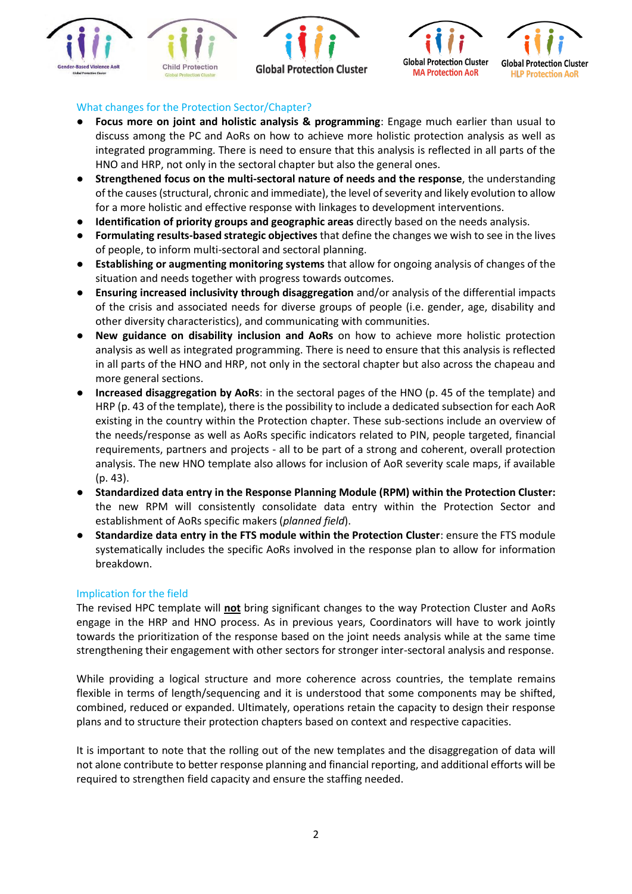







# What changes for the Protection Sector/Chapter?

- **Focus more on joint and holistic analysis & programming**: Engage much earlier than usual to discuss among the PC and AoRs on how to achieve more holistic protection analysis as well as integrated programming. There is need to ensure that this analysis is reflected in all parts of the HNO and HRP, not only in the sectoral chapter but also the general ones.
- **Strengthened focus on the multi-sectoral nature of needs and the response**, the understanding of the causes (structural, chronic and immediate), the level of severity and likely evolution to allow for a more holistic and effective response with linkages to development interventions.
- **Identification of priority groups and geographic areas** directly based on the needs analysis.
- **Formulating results-based strategic objectives** that define the changes we wish to see in the lives of people, to inform multi-sectoral and sectoral planning.
- **Establishing or augmenting monitoring systems** that allow for ongoing analysis of changes of the situation and needs together with progress towards outcomes.
- **Ensuring increased inclusivity through disaggregation** and/or analysis of the differential impacts of the crisis and associated needs for diverse groups of people (i.e. gender, age, disability and other diversity characteristics), and communicating with communities.
- **New guidance on disability inclusion and AoRs** on how to achieve more holistic protection analysis as well as integrated programming. There is need to ensure that this analysis is reflected in all parts of the HNO and HRP, not only in the sectoral chapter but also across the chapeau and more general sections.
- **Increased disaggregation by AoRs**: in the sectoral pages of the HNO (p. 45 of the template) and HRP (p. 43 of the template), there is the possibility to include a dedicated subsection for each AoR existing in the country within the Protection chapter. These sub-sections include an overview of the needs/response as well as AoRs specific indicators related to PIN, people targeted, financial requirements, partners and projects - all to be part of a strong and coherent, overall protection analysis. The new HNO template also allows for inclusion of AoR severity scale maps, if available (p. 43).
- **Standardized data entry in the Response Planning Module (RPM) within the Protection Cluster:**  the new RPM will consistently consolidate data entry within the Protection Sector and establishment of AoRs specific makers (*planned field*).
- **Standardize data entry in the FTS module within the Protection Cluster**: ensure the FTS module systematically includes the specific AoRs involved in the response plan to allow for information breakdown.

# Implication for the field

The revised HPC template will **not** bring significant changes to the way Protection Cluster and AoRs engage in the HRP and HNO process. As in previous years, Coordinators will have to work jointly towards the prioritization of the response based on the joint needs analysis while at the same time strengthening their engagement with other sectors for stronger inter-sectoral analysis and response.

While providing a logical structure and more coherence across countries, the template remains flexible in terms of length/sequencing and it is understood that some components may be shifted, combined, reduced or expanded. Ultimately, operations retain the capacity to design their response plans and to structure their protection chapters based on context and respective capacities.

It is important to note that the rolling out of the new templates and the disaggregation of data will not alone contribute to better response planning and financial reporting, and additional efforts will be required to strengthen field capacity and ensure the staffing needed.